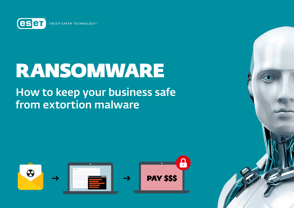**eser ENIOY SAFER TECHNOLOGY™** 

# RANSOMWARE

# How to keep your business safe from extortion malware



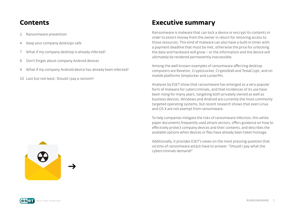### **Contents**

- 2 Ransomware prevention
- 4 [Keep your company desktops safe](#page-3-0)
- 7 [What if my company desktop is already infected?](#page-4-0)
- 8 [Don't forget about company Android devices](#page-5-0)
- 9 [What if my company Android device has already been infected?](#page-6-0)
- 10 [Last but not least: Should I pay a ransom?](#page-7-0)

# Ransomware is malware that can lock a device or encrypt its contents in

**Executive summary**

order to extort money from the owner in return for restoring access to those resources. This kind of malware can also have a built-in timer with a payment deadline that must be met, otherwise the price for unlocking the data and hardware will grow – or the information and the device will ultimately be rendered permanently inaccessible.

Among the well-known examples of ransomware afecting desktop computers are Reveton, CryptoLocker, CryptoWall and TeslaCrypt; and on mobile platforms Simplocker and LockerPin.

Analyses by ESET show that ransomware has emerged as a very popular form of malware for cybercriminals, and that incidences of its use have been rising for many years, targeting both privately owned as well as business devices. Windows and Android are currently the most commonly targeted operating systems, but recent research shows that even Linux and OS X are not exempt from ransomware.

To help companies mitigate the risks of ransomware infection, this white paper documents frequently used attack vectors, offers guidance on how to efectively protect company devices and their contents, and describes the available options when devices or files have already been taken hostage.

Additionally, it provides ESET's views on the most pressing question that victims of ransomware attack have to answer: "Should I pay what the cybercriminals demand?"

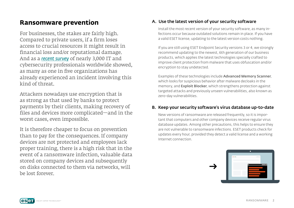## **Ransomware prevention**

For businesses, the stakes are fairly high. Compared to private users, if a firm loses access to crucial resources it might result in financial loss and/or reputational damage. And as a *[recent survey](http://www.isaca.org/Pages/2016-Cybersecurity-Snapshot.aspx)* of nearly 3,000 IT and cybersecurity professionals worldwide showed, as many as one in five organizations has already experienced an incident involving this kind of threat.

Attackers nowadays use encryption that is as strong as that used by banks to protect payments by their clients, making recovery of files and devices more complicated—and in the worst cases, even impossible.

It is therefore cheaper to focus on prevention than to pay for the consequences. If company devices are not protected and employees lack proper training, there is a high risk that in the event of a ransomware infection, valuable data stored on company devices and subsequently on disks connected to them via networks, will be lost forever.

#### A. Use the latest version of your security software

Install the most recent version of your security software, as many infections occur because outdated solutions remain in place. If you have a valid ESET license, updating to the latest version costs nothing.

If you are still using ESET Endpoint Security versions 3 or 4, we strongly recommend updating to the newest, 6th generation of our business products, which applies the latest technologies specially crafted to improve client protection from malware that uses obfuscation and/or encryption to stay undetected.

Examples of these technologies include Advanced Memory Scanner, which looks for suspicious behavior after malware decloaks in the memory, and **Exploit Blocker**, which strengthens protection against targeted attacks and previously unseen vulnerabilities, also known as zero-day vulnerabilities.

#### B. Keep your security software's virus database up-to-date

New versions of ransomware are released frequently, so it is important that computers and other company devices receive regular virus database updates. Among other precautions, this helps to ensure they are not vulnerable to ransomware infections. ESET products check for updates every hour, provided they detect a valid license and a working Internet connection.

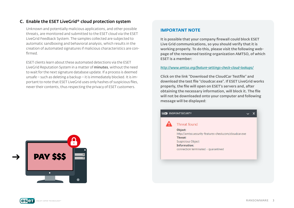#### <span id="page-3-0"></span>C. Enable the ESET LiveGrid® cloud protection system

Unknown and potentially malicious applications, and other possible threats, are monitored and submitted to the ESET cloud via the ESET LiveGrid Feedback System. The samples collected are subjected to automatic sandboxing and behavioral analysis, which results in the creation of automated signatures if malicious characteristics are confirmed.

ESET clients learn about these automated detections via the ESET LiveGrid Reputation System in a matter of minutes, without the need to wait for the next signature database update. If a process is deemed unsafe – such as deleting a backup – it is immediately blocked. It is important to note that ESET LiveGrid uses only hashes of suspicious files, never their contents, thus respecting the privacy of ESET customers.

# **PAY \$\$\$** ō

#### **IMPORTANT NOTE**

It is possible that your company firewall could block ESET Live Grid communications, so you should verify that it is working properly. To do this, please visit the following webpage of the renowned testing organization AMTSO, of which ESET is a member:

#### *[http://www.amtso.org/feature](http://www.amtso.org/feature-settings-check-cloud-lookups/)-settings-check-cloud-lookups/*

Click on the link "Download the CloudCar Testfile" and download the test file "cloudcar.exe". If ESET LiveGrid works properly, the file will open on ESET's servers and, after obtaining the necessary information, will block it. The file will not be downloaded onto your computer and following message will be displayed:

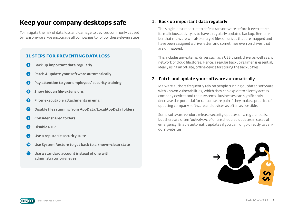### <span id="page-4-0"></span>**Keep your company desktops safe**

To mitigate the risk of data loss and damage to devices commonly caused by ransomware, we encourage all companies to follow these eleven steps.

#### **11 STEPS FOR PREVENTING DATA LOSS**

- **O** Back up important data regularly
- **2** Patch & update your software automatically
- ➌ Pay attention to your employees' security training
- ➍ Show hidden file-extensions
- **O** Filter executable attachments in email
- **G** Disable files running from AppData/LocalAppData folders
- ➐ Consider shared folders
- ➑ Disable RDP
- Use a reputable security suite
- **10** Use System Restore to get back to a known-clean state
- **11** Use a standard account instead of one with administrator privileges

#### 1. Back up important data regularly

The single, best measure to defeat ransomware before it even starts its malicious activity, is to have a regularly updated backup. Remember that malware will also encrypt files on drives that are mapped and have been assigned a drive letter, and sometimes even on drives that are unmapped.

This includes any external drives such as a USB thumb drive, as well as any network or cloud file stores. Hence, a regular backup regimen is essential, ideally using an off-site, offline device for storing the backup files.

#### 2. Patch and update your software automatically

Malware authors frequently rely on people running outdated software with known vulnerabilities, which they can exploit to silently access company devices and their systems. Businesses can significantly decrease the potential for ransomware pain if they make a practice of updating company software and devices as often as possible.

Some software vendors release security updates on a regular basis, but there are often "out-of-cycle" or unscheduled updates in cases of emergency. Enable automatic updates if you can, or go directly to vendors' websites.

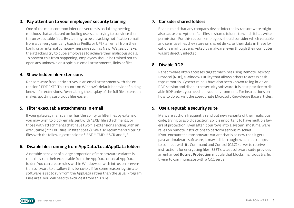#### <span id="page-5-0"></span>3. Pay attention to your employees' security training

One of the most common infection vectors is social engineering – methods that are based on fooling users and trying to convince them to run executable files. By claiming to be a tracking notification email from a delivery company (such as FedEx or UPS), an email from their bank, or an internal company message such as New\_Wages.pdf.exe, the attackers try to dupe employees to achieve their malicious goals. To prevent this from happening, employees should be trained not to open any unknown or suspicious email attachments, links or files.

#### 4. Show hidden file-extensions

Ransomware frequently arrives in an email attachment with the extension ".PDF.EXE". This counts on Window's default behavior of hiding known file extensions. Re-enabling the display of the full file extension makes spotting suspicious files easier.

#### 5. Filter executable attachments in email

If your gateway mail scanner has the ability to filter files by extension, you may wish to block emails sent with ".EXE" file attachments, or those with attachments that have two file extensions ending with an executable ("\*.\*.EXE" files, in filter-speak). We also recommend filtering files with the following extensions: \*.BAT, \*.CMD, \*.SCR and \*.JS.

#### 6. Disable files running from AppData/LocalAppData folders

A notable behavior of a large proportion of ransomware variants is that they run their executable from the AppData or Local AppData folder. You can create rules within Windows or with intrusion prevention software to disallow this behavior. If for some reason legitimate software is set to run from the AppData rather than the usual Program Files area, you will need to exclude it from this rule.

#### 7. Consider shared folders

Bear in mind that any company device infected by ransomware might also cause encryption of all files in shared folders to which it has write permission. For this reason, employees should consider which valuable and sensitive files they store on shared disks, as their data in these locations might get encrypted by malware, even though their computer wasn't directly infected.

#### 8. Disable RDP

Ransomware often accesses target machines using Remote Desktop Protocol (RDP), a Windows utility that allows others to access desktops remotely. Cybercriminals have also been known to log in via an RDP session and disable the security software. It is best practice to disable RDP unless you need it in your environment. For instructions on how to do so, visit the appropriate Microsoft Knowledge Base articles.

#### 9. Use a reputable security suite

Malware authors frequently send out new variants of their malicious code, trying to avoid detection, so it is important to have multiple layers of protection. Even after it burrows into a system, most malware relies on remote instructions to perform serious mischief. If you encounter a ransomware variant that is so new that it gets past antimalware software, it may still be caught when it attempts to connect with its Command and Control (C&C) server to receive instructions for encrypting files. ESET's latest software suite provides an enhanced **Botnet Protection** module that blocks malicious traffic trying to communicate with a C&C server.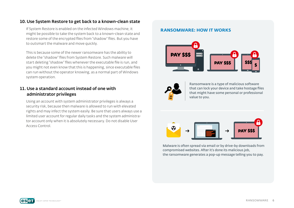#### <span id="page-6-0"></span>10. Use System Restore to get back to a known-clean state

If System Restore is enabled on the infected Windows machine, it might be possible to take the system back to a known-clean state and restore some of the encrypted files from "shadow" files. But you have to outsmart the malware and move quickly.

This is because some of the newer ransomware has the ability to delete the "shadow" files from System Restore. Such malware will start deleting "shadow" files whenever the executable file is run, and you might not even know that this is happening, since executable files can run without the operator knowing, as a normal part of Windows system operation.

#### 11.Use a standard account instead of one with administrator privileges

Using an account with system administrator privileges is always a security risk, because then malware is allowed to run with elevated rights and may infect the system easily. Be sure that users always use a limited user account for regular daily tasks and the system administrator account only when it is absolutely necessary. Do not disable User Access Control.

#### **RANSOMWARE: HOW IT WORKS**





Ransomware is a type of malicious software that can lock your device and take hostage files that might have some personal or professional value to you.



Malware is often spread via email or by drive-by downloads from compromised websites. After it's done its malicious job, the ransomware generates a pop-up message telling you to pay.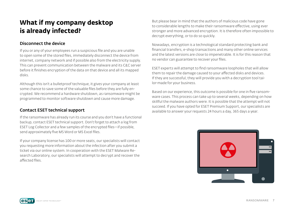# <span id="page-7-0"></span>**What if my company desktop is already infected?**

#### Disconnect the device

If you or any of your employees run a suspicious file and you are unable to open some of the stored files, immediately disconnect the device from internet, company network and if possible also from the electricity supply. This can prevent communication between the malware and its C&C server before it finishes encryption of the data on that device and all its mapped disks.

Although this isn't a bulletproof technique, it gives your company at least some chance to save some of the valuable files before they are fully encrypted. We recommend a hardware shutdown, as ransomware might be programmed to monitor software shutdown and cause more damage.

#### Contact ESET technical support

If the ransomware has already run its course and you don't have a functional backup, contact ESET technical support. Don't forget to attach a log from ESET Log Collector and a few samples of the encrypted files—if possible, send approximately five MS Word or MS Excel files.

If your company license has 100 or more seats, our specialists will contact you requesting more information about the infection after you submit a ticket via our online system. In cooperation with the ESET Malware Research Laboratory, our specialists will attempt to decrypt and recover the afected files.

But please bear in mind that the authors of malicious code have gone to considerable lengths to make their ransomware efective, using ever stronger and more advanced encryption. It is therefore often impossible to decrypt everything, or to do so quickly.

Nowadays, encryption is a technological standard protecting bank and financial transfers, e-shop transactions and many other online services and the latest versions are close to impenetrable. It is for this reason that no vendor can guarantee to recover your files.

ESET experts will attempt to find ransomware loopholes that will allow them to repair the damage caused to your afected disks and devices. If they are successful, they will provide you with a decryption tool tailor-made for your business.

Based on our experience, this outcome is possible for one in five ransomware cases. This process can take up to several weeks, depending on how skillful the malware authors were. It is possible that the attempt will not succeed. If you have opted for ESET Premium Support, our specialists are available to answer your requests 24 hours a day, 365 days a year.

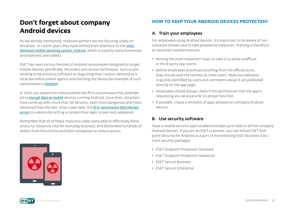# **Don't forget about company Android devices**

As we already mentioned, malware authors are not focusing solely on Windows. In recent years they have shifted their attention to the *[most](https://www.idc.com/prodserv/smartphone-os-market-share.jsp)  [dominant mobile operating system, Android](https://www.idc.com/prodserv/smartphone-os-market-share.jsp)*, which is used by many businesses smartphones and tablets.

ESET has seen various families of Android ransomware designed to target mobile devices specifically. Attackers use various techniques, such as pretending to be antivirus software or disguising their ransom demand as a local law enforcement agency and blocking the device (an example of such ransomware is *[Reveton](http://www.virusradar.com/en/Win32_Reveton.A/description)*).

In 2014, our researchers encountered the first ransomware that attempted to *[encrypt data on mobile](http://www.welivesecurity.com/2014/06/04/simplocker/)* devices running Android. Since then, attackers have come up with more than 50 variants, each more dangerous and more advanced than the last. Only a year later, the *[first ransomware that blocked](http://www.welivesecurity.com/2015/09/10/aggressive-android-ransomware-spreading-in-the-usa/)  [access](http://www.welivesecurity.com/2015/09/10/aggressive-android-ransomware-spreading-in-the-usa/)* to a device by setting a random four-digit screen-lock appeared.

Remember that all of these malicious codes were able to efectively block access to resources vital for everyday business, and demanded hundreds of dollars from the victims and their companies to restore access.



#### **HOW TO KEEP YOUR ANDROID DEVICES PROTECTED?**

#### A. Train your employees

For employees using Android devices, it's important to be aware of ransomware threats and to take preventive measures. Training is therefore an essential countermeasure.

- Among the most important steps to take is to avoid unofficial or third-party app stores.
- Before employees download anything from the official store, they should read the reviews by other users. Malicious behavior is quickly identified by users and comments about it are published directly on the app page.
- Employees should always check if the permissions that the app is requesting are necessary for its proper function.
- If possible, create a whitelist of apps allowed on company Android devices.

#### B. Use security software

Have a mobile security app installed and kept up to date in all the company Android devices. If you are an ESET customer, you can install ESET Endpoint Security for Android as a part of the following ESET Business Solutions security packages:

- ESET Endpoint Protection Standard
- ESET Endpoint Protection Advanced
- ESET Secure Business
- ESET Secure Enterprise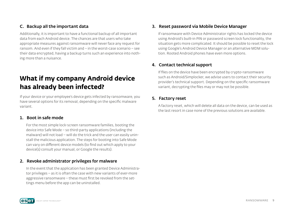#### C. Backup all the important data

Additionally, it is important to have a functional backup of all important data from each Android device. The chances are that users who take appropriate measures against ransomware will never face any request for ransom. And even if they fall victim and – in the worst-case scenario – see their data encrypted, having a backup turns such an experience into nothing more than a nuisance.

# **What if my company Android device has already been infected?**

If your device or your employee's device gets infected by ransomware, you have several options for its removal, depending on the specific malware variant.

#### 1. Boot in safe mode

For the most simple lock-screen ransomware families, booting the device into Safe Mode – so third-party applications (including the malware) will not load – will do the trick and the user can easily uninstall the malicious application. The steps for booting into Safe Mode can vary on diferent device models (to find out which apply to your device(s) consult your manual, or Google the results).

#### 2. Revoke administrator privileges for malware

In the event that the application has been granted Device Administrator privileges – as it is often the case with new variants of ever-more aggressive ransomware – these must first be revoked from the settings menu before the app can be uninstalled.

#### 3. Reset password via Mobile Device Manager

If ransomware with Device Administrator rights has locked the device using Android's built-in PIN or password screen lock functionality, the situation gets more complicated. It should be possible to reset the lock using Google's Android Device Manager or an alternative MDM solution. Rooted Android phones have even more options.

#### 4. Contact technical support

If files on the device have been encrypted by crypto-ransomware such as Android/Simplocker, we advise users to contact their security provider's technical support. Depending on the specific ransomware variant, decrypting the files may or may not be possible.

#### 5. Factory reset

A factory reset, which will delete all data on the device, can be used as the last resort in case none of the previous solutions are available.